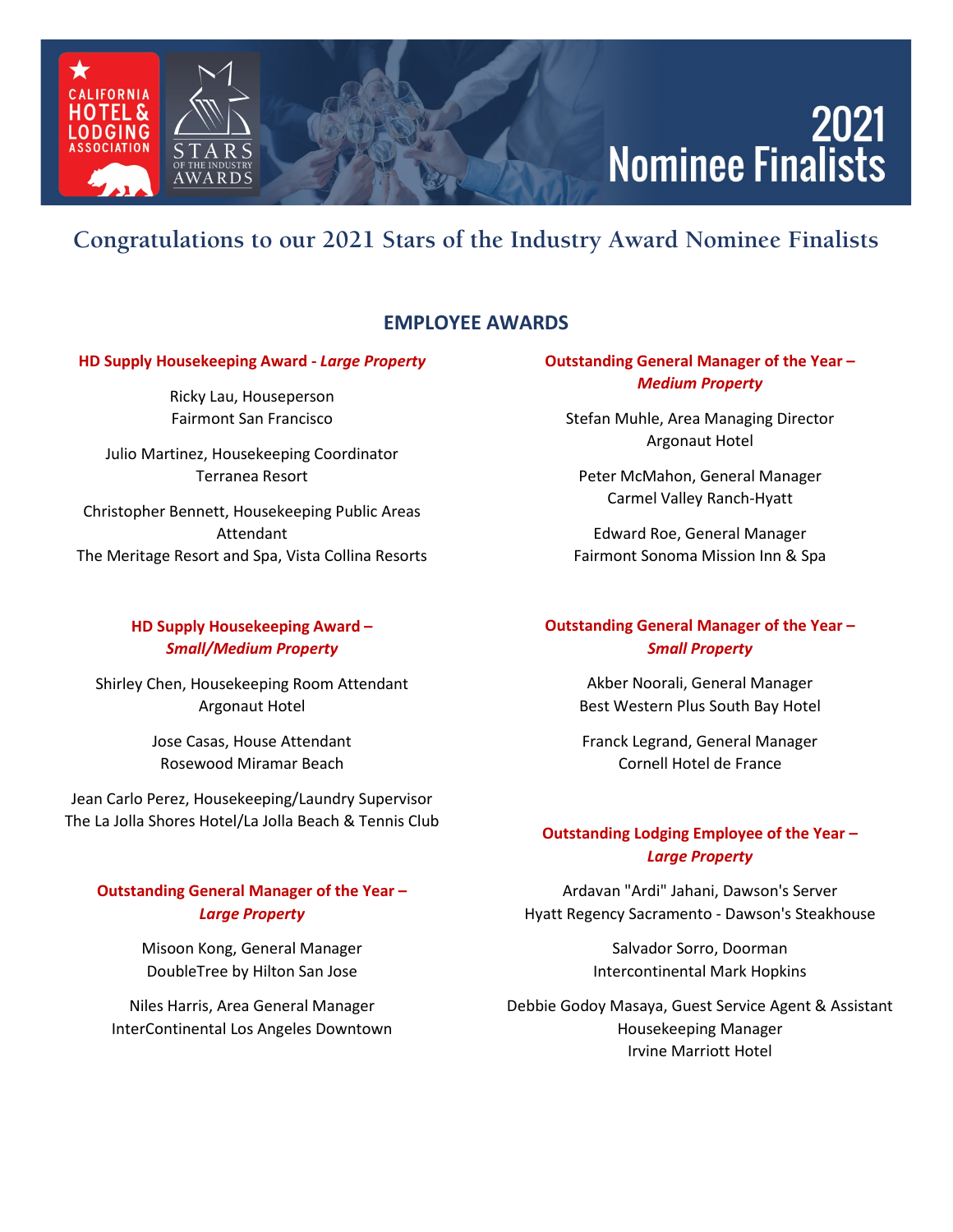### **2021 Nominee Finalists**

### **Congratulations to our 2021 Stars of the Industry Award Nominee Finalists**

#### **EMPLOYEE AWARDS**

#### **HD Supply Housekeeping Award -** *Large Property*

AWARDS

**IFORNIA** HOTEL &

ODGING

Ricky Lau, Houseperson Fairmont San Francisco

Julio Martinez, Housekeeping Coordinator Terranea Resort

Christopher Bennett, Housekeeping Public Areas Attendant The Meritage Resort and Spa, Vista Collina Resorts

#### **HD Supply Housekeeping Award –** *Small/Medium Property*

Shirley Chen, Housekeeping Room Attendant Argonaut Hotel

> Jose Casas, House Attendant Rosewood Miramar Beach

Jean Carlo Perez, Housekeeping/Laundry Supervisor The La Jolla Shores Hotel/La Jolla Beach & Tennis Club

#### **Outstanding General Manager of the Year –** *Large Property*

Misoon Kong, General Manager DoubleTree by Hilton San Jose

Niles Harris, Area General Manager InterContinental Los Angeles Downtown

#### **Outstanding General Manager of the Year –** *Medium Property*

Stefan Muhle, Area Managing Director Argonaut Hotel

Peter McMahon, General Manager Carmel Valley Ranch-Hyatt

Edward Roe, General Manager Fairmont Sonoma Mission Inn & Spa

#### **Outstanding General Manager of the Year –** *Small Property*

Akber Noorali, General Manager Best Western Plus South Bay Hotel

Franck Legrand, General Manager Cornell Hotel de France

#### **Outstanding Lodging Employee of the Year –** *Large Property*

Ardavan "Ardi" Jahani, Dawson's Server Hyatt Regency Sacramento - Dawson's Steakhouse

> Salvador Sorro, Doorman Intercontinental Mark Hopkins

Debbie Godoy Masaya, Guest Service Agent & Assistant Housekeeping Manager Irvine Marriott Hotel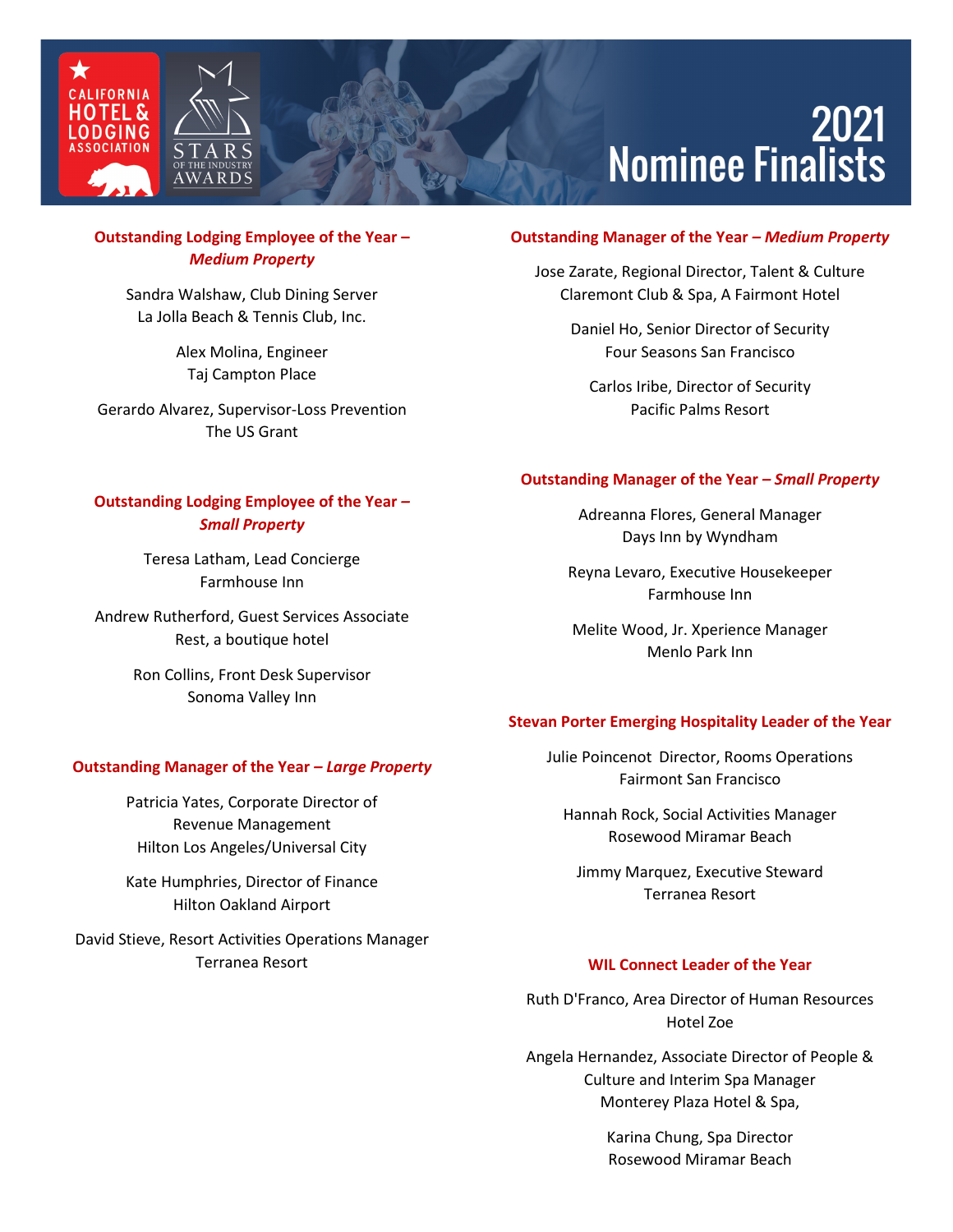



# 2021<br>Nominee Finalists

#### **Outstanding Lodging Employee of the Year –** *Medium Property*

Sandra Walshaw, Club Dining Server La Jolla Beach & Tennis Club, Inc.

> Alex Molina, Engineer Taj Campton Place

Gerardo Alvarez, Supervisor-Loss Prevention The US Grant

#### **Outstanding Lodging Employee of the Year** *– Small Property*

Teresa Latham, Lead Concierge Farmhouse Inn

Andrew Rutherford, Guest Services Associate Rest, a boutique hotel

> Ron Collins, Front Desk Supervisor Sonoma Valley Inn

#### **Outstanding Manager of the Year** *– Large Property*

Patricia Yates, Corporate Director of Revenue Management Hilton Los Angeles/Universal City

Kate Humphries, Director of Finance Hilton Oakland Airport

David Stieve, Resort Activities Operations Manager Terranea Resort

#### **Outstanding Manager of the Year** *– Medium Property*

Jose Zarate, Regional Director, Talent & Culture Claremont Club & Spa, A Fairmont Hotel

> Daniel Ho, Senior Director of Security Four Seasons San Francisco

Carlos Iribe, Director of Security Pacific Palms Resort

#### **Outstanding Manager of the Year** *– Small Property*

Adreanna Flores, General Manager Days Inn by Wyndham

Reyna Levaro, Executive Housekeeper Farmhouse Inn

Melite Wood, Jr. Xperience Manager Menlo Park Inn

#### **Stevan Porter Emerging Hospitality Leader of the Year**

Julie Poincenot Director, Rooms Operations Fairmont San Francisco

Hannah Rock, Social Activities Manager Rosewood Miramar Beach

Jimmy Marquez, Executive Steward Terranea Resort

#### **WIL Connect Leader of the Year**

Ruth D'Franco, Area Director of Human Resources Hotel Zoe

Angela Hernandez, Associate Director of People & Culture and Interim Spa Manager Monterey Plaza Hotel & Spa,

> Karina Chung, Spa Director Rosewood Miramar Beach